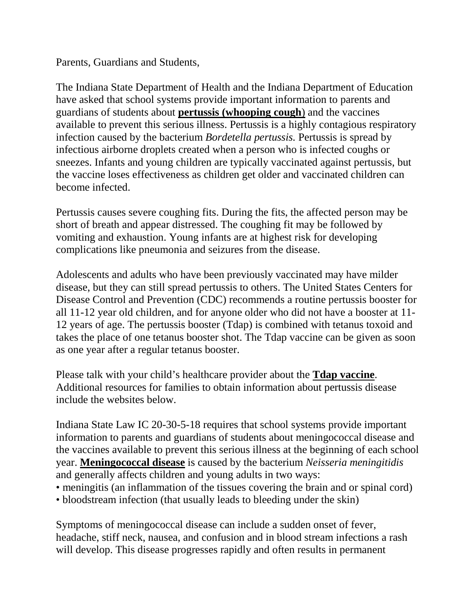Parents, Guardians and Students,

The Indiana State Department of Health and the Indiana Department of Education have asked that school systems provide important information to parents and guardians of students about **pertussis (whooping cough**) and the vaccines available to prevent this serious illness. Pertussis is a highly contagious respiratory infection caused by the bacterium *Bordetella pertussis.* Pertussis is spread by infectious airborne droplets created when a person who is infected coughs or sneezes. Infants and young children are typically vaccinated against pertussis, but the vaccine loses effectiveness as children get older and vaccinated children can become infected.

Pertussis causes severe coughing fits. During the fits, the affected person may be short of breath and appear distressed. The coughing fit may be followed by vomiting and exhaustion. Young infants are at highest risk for developing complications like pneumonia and seizures from the disease.

Adolescents and adults who have been previously vaccinated may have milder disease, but they can still spread pertussis to others. The United States Centers for Disease Control and Prevention (CDC) recommends a routine pertussis booster for all 11-12 year old children, and for anyone older who did not have a booster at 11- 12 years of age. The pertussis booster (Tdap) is combined with tetanus toxoid and takes the place of one tetanus booster shot. The Tdap vaccine can be given as soon as one year after a regular tetanus booster.

Please talk with your child's healthcare provider about the **Tdap vaccine**. Additional resources for families to obtain information about pertussis disease include the websites below.

Indiana State Law IC 20-30-5-18 requires that school systems provide important information to parents and guardians of students about meningococcal disease and the vaccines available to prevent this serious illness at the beginning of each school year. **Meningococcal disease** is caused by the bacterium *Neisseria meningitidis*  and generally affects children and young adults in two ways:

- meningitis (an inflammation of the tissues covering the brain and or spinal cord)
- bloodstream infection (that usually leads to bleeding under the skin)

Symptoms of meningococcal disease can include a sudden onset of fever, headache, stiff neck, nausea, and confusion and in blood stream infections a rash will develop. This disease progresses rapidly and often results in permanent